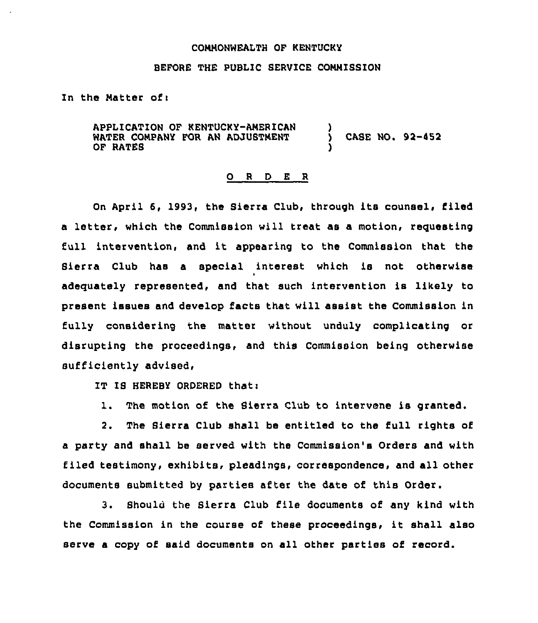## CONNONWEALTH OF KENTUCKY

## BEFORE THE PUBLIC SERVICE CONNISSIOH

In the Matter of:

APPLICATION OF KENTUCKY-ANERICAH } WATER COMPANY FOR AN ADJUSTMENT (SASE NO. 92-452 OF RATES

## 0 <sup>R</sup> <sup>D</sup> E <sup>R</sup>

On April 6, 1993, the Sierra Club, through its counsel, filed a letter, which the Commission will treat as a motion, requesting full intervention, and it appearing to the Commission that the Sierra Club has a special interest which is not otherwise adequately represented, and that such intervention is likely to present issues and develop facts that will assist the Commission in fully considering the matter without unduly complicating or disrupting the proceedings, and this Commission being otherwise sufficiently advised,

IT IS HEREBY ORDERED that:

1. The motion of the Sierra Club to intervene is granted.

2. The Sierra Club shall be entitled to the full rights of a party and shall be served with the Commission's Orders and with filed testimony, exhibits, pleadings, correspondence, and all other documents submitted by parties after the date of this Order.

3. Should the Sierra Club file documents of any kind with the Commission in the course of these proceedings, it shall also serve a copy of said documents on all other parties of record.